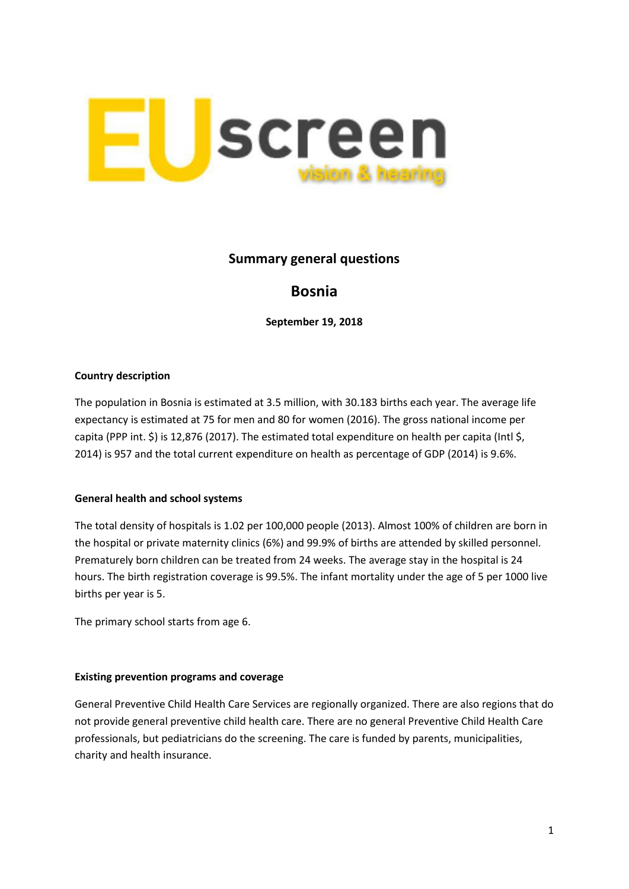

# **Summary general questions**

# **Bosnia**

**September 19, 2018**

### **Country description**

The population in Bosnia is estimated at 3.5 million, with 30.183 births each year. The average life expectancy is estimated at 75 for men and 80 for women (2016). The gross national income per capita (PPP int. \$) is 12,876 (2017). The estimated total expenditure on health per capita (Intl \$, 2014) is 957 and the total current expenditure on health as percentage of GDP (2014) is 9.6%.

#### **General health and school systems**

The total density of hospitals is 1.02 per 100,000 people (2013). Almost 100% of children are born in the hospital or private maternity clinics (6%) and 99.9% of births are attended by skilled personnel. Prematurely born children can be treated from 24 weeks. The average stay in the hospital is 24 hours. The birth registration coverage is 99.5%. The infant mortality under the age of 5 per 1000 live births per year is 5.

The primary school starts from age 6.

#### **Existing prevention programs and coverage**

General Preventive Child Health Care Services are regionally organized. There are also regions that do not provide general preventive child health care. There are no general Preventive Child Health Care professionals, but pediatricians do the screening. The care is funded by parents, municipalities, charity and health insurance.